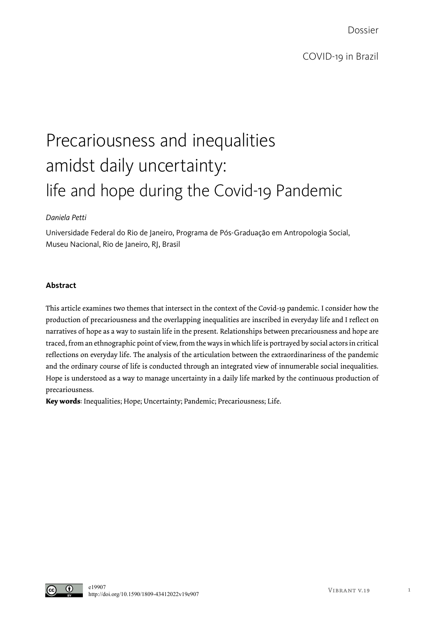Dossier

# Precariousness and inequalities amidst daily uncertainty: life and hope during the Covid-19 Pandemic

## *Daniela Petti*

Universidade Federal do Rio de Janeiro, Programa de Pós-Graduação em Antropologia Social, Museu Nacional, Rio de Janeiro, RJ, Brasil

## **Abstract**

This article examines two themes that intersect in the context of the Covid-19 pandemic. I consider how the production of precariousness and the overlapping inequalities are inscribed in everyday life and I reflect on narratives of hope as a way to sustain life in the present. Relationships between precariousness and hope are traced, from an ethnographic point of view, from the ways in which life is portrayed by social actors in critical reflections on everyday life. The analysis of the articulation between the extraordinariness of the pandemic and the ordinary course of life is conducted through an integrated view of innumerable social inequalities. Hope is understood as a way to manage uncertainty in a daily life marked by the continuous production of precariousness.

**Key words**: Inequalities; Hope; Uncertainty; Pandemic; Precariousness; Life.

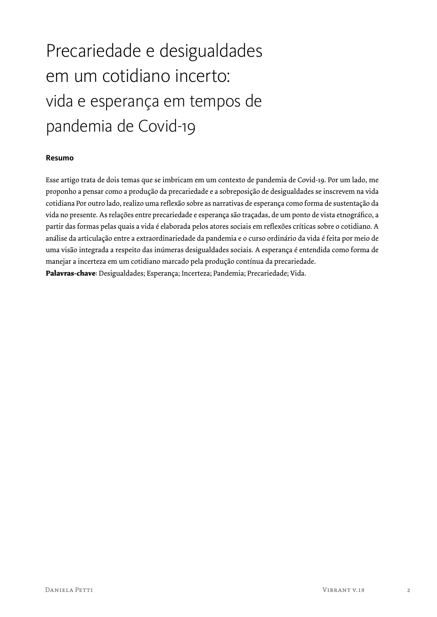# Precariedade e desigualdades em um cotidiano incerto: vida e esperança em tempos de pandemia de Covid-19

## **Resumo**

Esse artigo trata de dois temas que se imbricam em um contexto de pandemia de Covid-19. Por um lado, me proponho a pensar como a produção da precariedade e a sobreposição de desigualdades se inscrevem na vida cotidiana Por outro lado, realizo uma reflexão sobre as narrativas de esperança como forma de sustentação da vida no presente. As relações entre precariedade e esperança são traçadas, de um ponto de vista etnográfico, a partir das formas pelas quais a vida é elaborada pelos atores sociais em reflexões críticas sobre o cotidiano. A análise da articulação entre a extraordinariedade da pandemia e o curso ordinário da vida é feita por meio de uma visão integrada a respeito das inúmeras desigualdades sociais. A esperança é entendida como forma de manejar a incerteza em um cotidiano marcado pela produção contínua da precariedade. **Palavras-chave**: Desigualdades; Esperança; Incerteza; Pandemia; Precariedade; Vida.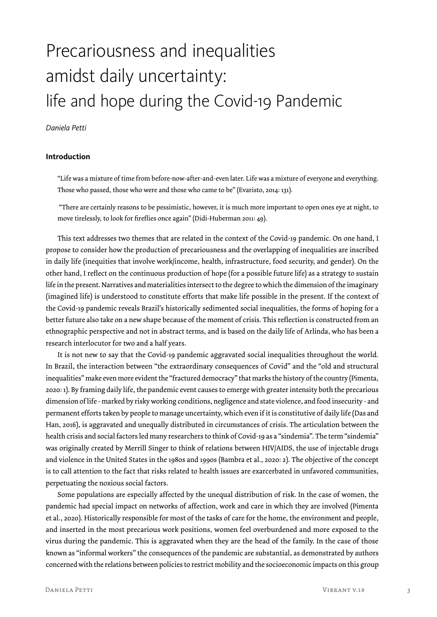## Precariousness and inequalities amidst daily uncertainty: life and hope during the Covid-19 Pandemic

### *Daniela Petti*

### **Introduction**

"Life was a mixture of time from before-now-after-and-even later. Life was a mixture of everyone and everything. Those who passed, those who were and those who came to be" (Evaristo, 2014: 131).

 "There are certainly reasons to be pessimistic, however, it is much more important to open ones eye at night, to move tirelessly, to look for fireflies once again" (Didi-Huberman 2011: 49).

This text addresses two themes that are related in the context of the Covid-19 pandemic. On one hand, I propose to consider how the production of precariousness and the overlapping of inequalities are inscribed in daily life (inequities that involve work/income, health, infrastructure, food security, and gender). On the other hand, I reflect on the continuous production of hope (for a possible future life) as a strategy to sustain life in the present. Narratives and materialities intersect to the degree to which the dimension of the imaginary (imagined life) is understood to constitute efforts that make life possible in the present. If the context of the Covid-19 pandemic reveals Brazil's historically sedimented social inequalities, the forms of hoping for a better future also take on a new shape because of the moment of crisis. This reflection is constructed from an ethnographic perspective and not in abstract terms, and is based on the daily life of Arlinda, who has been a research interlocutor for two and a half years.

It is not new to say that the Covid-19 pandemic aggravated social inequalities throughout the world. In Brazil, the interaction between "the extraordinary consequences of Covid" and the "old and structural inequalities" make even more evident the "fractured democracy" that marks the history of the country (Pimenta, 2020: 1). By framing daily life, the pandemic event causes to emerge with greater intensity both the precarious dimension of life - marked by risky working conditions, negligence and state violence, and food insecurity - and permanent efforts taken by people to manage uncertainty, which even if it is constitutive of daily life (Das and Han, 2016), is aggravated and unequally distributed in circumstances of crisis. The articulation between the health crisis and social factors led many researchers to think of Covid-19 as a "sindemia". The term "sindemia" was originally created by Merrill Singer to think of relations between HIV/AIDS, the use of injectable drugs and violence in the United States in the 1980s and 1990s (Bambra et al., 2020: 2). The objective of the concept is to call attention to the fact that risks related to health issues are exarcerbated in unfavored communities, perpetuating the noxious social factors.

Some populations are especially affected by the unequal distribution of risk. In the case of women, the pandemic had special impact on networks of affection, work and care in which they are involved (Pimenta et al., 2020). Historically responsible for most of the tasks of care for the home, the environment and people, and inserted in the most precarious work positions, women feel overburdened and more exposed to the virus during the pandemic. This is aggravated when they are the head of the family. In the case of those known as "informal workers" the consequences of the pandemic are substantial, as demonstrated by authors concerned with the relations between policies to restrict mobility and the socioeconomic impacts on this group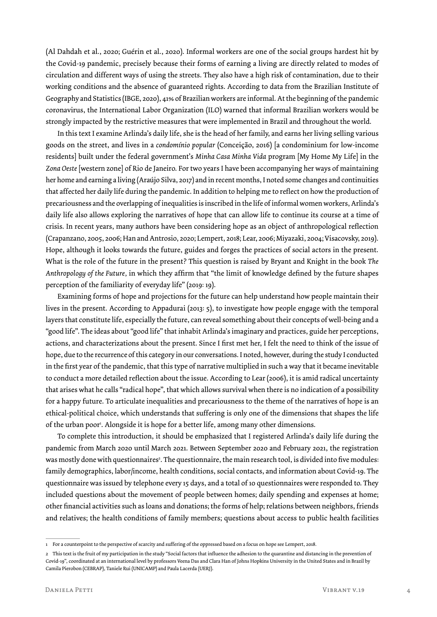(Al Dahdah et al., 2020; Guérin et al., 2020). Informal workers are one of the social groups hardest hit by the Covid-19 pandemic, precisely because their forms of earning a living are directly related to modes of circulation and different ways of using the streets. They also have a high risk of contamination, due to their working conditions and the absence of guaranteed rights. According to data from the Brazilian Institute of Geography and Statistics (IBGE, 2020), 41% of Brazilian workers are informal. At the beginning of the pandemic coronavirus, the International Labor Organization (ILO) warned that informal Brazilian workers would be strongly impacted by the restrictive measures that were implemented in Brazil and throughout the world.

In this text I examine Arlinda's daily life, she is the head of her family, and earns her living selling various goods on the street, and lives in a *condomínio popular* (Conceição, 2016) [a condominium for low-income residents] built under the federal government's *Minha Casa Minha Vida* program [My Home My Life] in the *Zona Oeste* [western zone] of Rio de Janeiro. For two years I have been accompanying her ways of maintaining her home and earning a living (Araújo Silva, 2017) and in recent months, I noted some changes and continuities that affected her daily life during the pandemic. In addition to helping me to reflect on how the production of precariousness and the overlapping of inequalities is inscribed in the life of informal women workers, Arlinda's daily life also allows exploring the narratives of hope that can allow life to continue its course at a time of crisis. In recent years, many authors have been considering hope as an object of anthropological reflection (Crapanzano, 2005, 2006; Han and Antrosio, 2020; Lempert, 2018; Lear, 2006; Miyazaki, 2004; Visacovsky, 2019). Hope, although it looks towards the future, guides and forges the practices of social actors in the present. What is the role of the future in the present? This question is raised by Bryant and Knight in the book *The Anthropology of the Future,* in which they affirm that "the limit of knowledge defined by the future shapes perception of the familiarity of everyday life" (2019: 19).

Examining forms of hope and projections for the future can help understand how people maintain their lives in the present. According to Appadurai (2013: 5), to investigate how people engage with the temporal layers that constitute life, especially the future, can reveal something about their concepts of well-being and a "good life". The ideas about "good life" that inhabit Arlinda's imaginary and practices, guide her perceptions, actions, and characterizations about the present. Since I first met her, I felt the need to think of the issue of hope, due to the recurrence of this category in our conversations. I noted, however, during the study I conducted in the first year of the pandemic, that this type of narrative multiplied in such a way that it became inevitable to conduct a more detailed reflection about the issue. According to Lear (2006), it is amid radical uncertainty that arises what he calls "radical hope", that which allows survival when there is no indication of a possibility for a happy future. To articulate inequalities and precariousness to the theme of the narratives of hope is an ethical-political choice, which understands that suffering is only one of the dimensions that shapes the life of the urban poor'. Alongside it is hope for a better life, among many other dimensions.

To complete this introduction, it should be emphasized that I registered Arlinda's daily life during the pandemic from March 2020 until March 2021. Between September 2020 and February 2021, the registration was mostly done with questionnaires<sup>2</sup>. The questionnaire, the main research tool, is divided into five modules: family demographics, labor/income, health conditions, social contacts, and information about Covid-19. The questionnaire was issued by telephone every 15 days, and a total of 10 questionnaires were responded to. They included questions about the movement of people between homes; daily spending and expenses at home; other financial activities such as loans and donations; the forms of help; relations between neighbors, friends and relatives; the health conditions of family members; questions about access to public health facilities

<sup>1</sup> For a counterpoint to the perspective of scarcity and suffering of the oppressed based on a focus on hope see Lempert, 2018.

<sup>2</sup> This text is the fruit of my participation in the study "Social factors that influence the adhesion to the quarantine and distancing in the prevention of Covid-19", coordinated at an international level by professors Veena Das and Clara Han of Johns Hopkins University in the United States and in Brazil by Camila Pierobon (CEBRAP), Taniele Rui (UNICAMP) and Paula Lacerda (UERJ).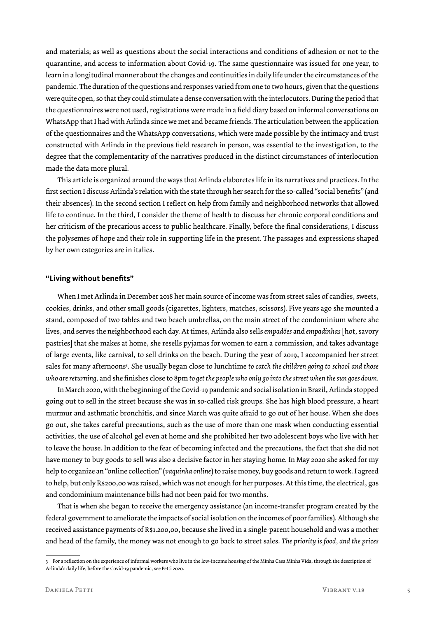and materials; as well as questions about the social interactions and conditions of adhesion or not to the quarantine, and access to information about Covid-19. The same questionnaire was issued for one year, to learn in a longitudinal manner about the changes and continuities in daily life under the circumstances of the pandemic. The duration of the questions and responses varied from one to two hours, given that the questions were quite open, so that they could stimulate a dense conversation with the interlocutors. During the period that the questionnaires were not used, registrations were made in a field diary based on informal conversations on WhatsApp that I had with Arlinda since we met and became friends. The articulation between the application of the questionnaires and the WhatsApp conversations, which were made possible by the intimacy and trust constructed with Arlinda in the previous field research in person, was essential to the investigation, to the degree that the complementarity of the narratives produced in the distinct circumstances of interlocution made the data more plural.

This article is organized around the ways that Arlinda elaboretes life in its narratives and practices. In the first section I discuss Arlinda's relation with the state through her search for the so-called "social benefits" (and their absences). In the second section I reflect on help from family and neighborhood networks that allowed life to continue. In the third, I consider the theme of health to discuss her chronic corporal conditions and her criticism of the precarious access to public healthcare. Finally, before the final considerations, I discuss the polysemes of hope and their role in supporting life in the present. The passages and expressions shaped by her own categories are in italics.

#### **"Living without benefits"**

When I met Arlinda in December 2018 her main source of income was from street sales of candies, sweets, cookies, drinks, and other small goods (cigarettes, lighters, matches, scissors). Five years ago she mounted a stand, composed of two tables and two beach umbrellas, on the main street of the condominium where she lives, and serves the neighborhood each day. At times, Arlinda also sells *empadões* and *empadinhas* [hot, savory pastries] that she makes at home, she resells pyjamas for women to earn a commission, and takes advantage of large events, like carnival, to sell drinks on the beach. During the year of 2019, I accompanied her street sales for many afternoons3 . She usually began close to lunchtime *to catch the children going to school and those who are returning,* and she finishes close to 8pm *to get the people who only go into the street when the sun goes down.*

In March 2020, with the beginning of the Covid-19 pandemic and social isolation in Brazil, Arlinda stopped going out to sell in the street because she was in so-called risk groups. She has high blood pressure, a heart murmur and asthmatic bronchitis, and since March was quite afraid to go out of her house. When she does go out, she takes careful precautions, such as the use of more than one mask when conducting essential activities, the use of alcohol gel even at home and she prohibited her two adolescent boys who live with her to leave the house. In addition to the fear of becoming infected and the precautions, the fact that she did not have money to buy goods to sell was also a decisive factor in her staying home. In May 2020 she asked for my help to organize an "online collection" (*vaquinha online*) to raise money, buy goods and return to work. I agreed to help, but only R\$200,00 was raised, which was not enough for her purposes. At this time, the electrical, gas and condominium maintenance bills had not been paid for two months.

That is when she began to receive the emergency assistance (an income-transfer program created by the federal government to ameliorate the impacts of social isolation on the incomes of poor families). Although she received assistance payments of R\$1.200,00, because she lived in a single-parent household and was a mother and head of the family, the money was not enough to go back to street sales. *The priority is food, and the prices* 

<sup>3</sup> For a reflection on the experience of informal workers who live in the low-income housing of the Minha Casa Minha Vida, through the description of Arlinda's daily life, before the Covid-19 pandemic, see Petti 2020.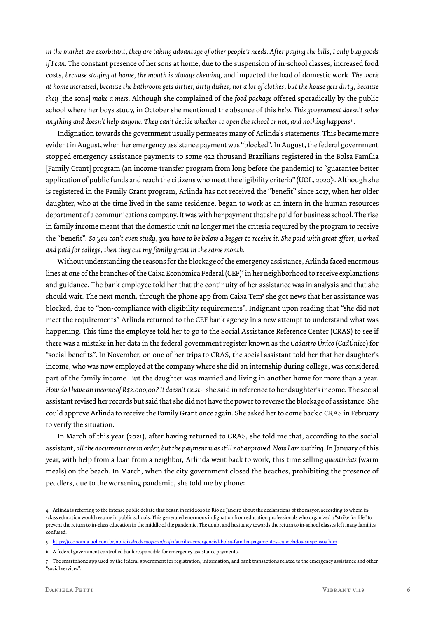*in the market are exorbitant, they are taking advantage of other people's needs. After paying the bills, I only buy goods if I can.* The constant presence of her sons at home, due to the suspension of in-school classes, increased food costs, *because staying at home, the mouth is always chewing,* and impacted the load of domestic work. *The work at home increased, because the bathroom gets dirtier, dirty dishes, not a lot of clothes, but the house gets dirty, because they* [the sons] *make a mess.* Although she complained of the *food package* offered sporadically by the public school where her boys study, in October she mentioned the absence of this *help*. *This government doesn't solve anything and doesn't help anyone. They can't decide whether to open the school or not, and nothing happens4 .*

Indignation towards the government usually permeates many of Arlinda's statements. This became more evident in August, when her emergency assistance payment was "blocked". In August, the federal government stopped emergency assistance payments to some 922 thousand Brazilians registered in the Bolsa Família [Family Grant] program (an income-transfer program from long before the pandemic) to "guarantee better application of public funds and reach the citizens who meet the eligibility criteria" (UOL, 2020)<sup>s</sup>. Although she is registered in the Family Grant program, Arlinda has not received the "benefit" since 2017, when her older daughter, who at the time lived in the same residence, began to work as an intern in the human resources department of a communications company. It was with her payment that she paid for business school. The rise in family income meant that the domestic unit no longer met the criteria required by the program to receive the "benefit". *So you can't even study, you have to be below a begger to receive it. She paid with great effort, worked and paid for college, then they cut my family grant in the same month.*

Without understanding the reasons for the blockage of the emergency assistance, Arlinda faced enormous lines at one of the branches of the Caixa Econômica Federal (CEF)6 in her neighborhood to receive explanations and guidance. The bank employee told her that the continuity of her assistance was in analysis and that she should wait. The next month, through the phone app from Caixa Tem7 she got news that her assistance was blocked, due to "non-compliance with eligibility requirements". Indignant upon reading that "she did not meet the requirements" Arlinda returned to the CEF bank agency in a new attempt to understand what was happening. This time the employee told her to go to the Social Assistance Reference Center (CRAS) to see if there was a mistake in her data in the federal government register known as the *Cadastro Único* (*CadÚnico*) for "social benefits". In November, on one of her trips to CRAS, the social assistant told her that her daughter's income, who was now employed at the company where she did an internship during college, was considered part of the family income. But the daughter was married and living in another home for more than a year. *How do I have an income of R\$2.000,00? It doesn't exist –* she said in reference to her daughter's income. The social assistant revised her records but said that she did not have the power to reverse the blockage of assistance. She could approve Arlinda to receive the Family Grant once again. She asked her to come back o CRAS in February to verify the situation.

In March of this year (2021), after having returned to CRAS, she told me that, according to the social assistant, *all the documents are in order, but the payment was still not approved. Now I am waiting.* In January of this year, with help from a loan from a neighbor, Arlinda went back to work, this time selling *quentinhas* (warm meals) on the beach. In March, when the city government closed the beaches, prohibiting the presence of peddlers, due to the worsening pandemic, she told me by phone:

<sup>4</sup> Arlinda is referring to the intense public debate that began in mid 2020 in Rio de Janeiro about the declarations of the mayor, according to whom in- -class education would resume in public schools. This generated enormous indignation from education professionals who organized a "strike for life" to prevent the return to in-class education in the middle of the pandemic. The doubt and hesitancy towards the return to in-school classes left many families confused.

<sup>5</sup> https://economia.uol.com.br/noticias/redacao/2020/09/12/auxilio-emergencial-bolsa-familia-pagamentos-cancelados-suspensos.htm

<sup>6</sup> A federal government controlled bank responsible for emergency assistance payments.

<sup>7</sup> The smartphone app used by the federal government for registration, information, and bank transactions related to the emergency assistance and other "social services".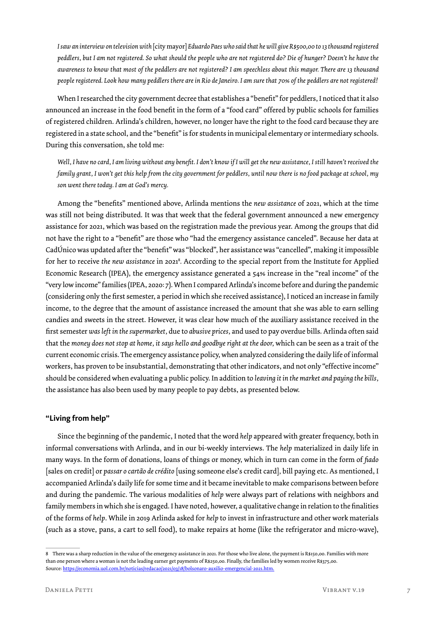*I saw an interview on television with* [city mayor] *Eduardo Paes who said that he will give R\$500,00 to 13 thousand registered peddlers, but I am not registered. So what should the people who are not registered do? Die of hunger? Doesn't he have the awareness to know that most of the peddlers are not registered? I am speechless about this mayor. There are 13 thousand people registered. Look how many peddlers there are in Rio de Janeiro. I am sure that 70% of the peddlers are not registered!*

When I researched the city government decree that establishes a "benefit" for peddlers, I noticed that it also announced an increase in the food benefit in the form of a "food card" offered by public schools for families of registered children. Arlinda's children, however, no longer have the right to the food card because they are registered in a state school, and the "benefit" is for students in municipal elementary or intermediary schools. During this conversation, she told me:

*Well, I have no card, I am living without any benefit. I don't know if I will get the new assistance, I still haven't received the family grant, I won't get this help from the city government for peddlers, until now there is no food package at school, my son went there today. I am at God's mercy.*

Among the "benefits" mentioned above, Arlinda mentions the *new assistance* of 2021, which at the time was still not being distributed. It was that week that the federal government announced a new emergency assistance for 2021, which was based on the registration made the previous year. Among the groups that did not have the right to a "benefit" are those who "had the emergency assistance canceled". Because her data at CadÚnico was updated after the "benefit" was "blocked", her assistance was "cancelled", making it impossible for her to receive *the new assistance* in 20218 *.* According to the special report from the Institute for Applied Economic Research (IPEA), the emergency assistance generated a 54% increase in the "real income" of the "very low income" families (IPEA, 2020: 7). When I compared Arlinda's income before and during the pandemic (considering only the first semester, a period in which she received assistance), I noticed an increase in family income, to the degree that the amount of assistance increased the amount that she was able to earn selling candies and sweets in the street. However, it was clear how much of the auxiliary assistance received in the first semester *was left in the supermarket,* due to *abusive prices,* and used to pay overdue bills. Arlinda often said that the *money does not stop at home, it says hello and goodbye right at the door,* which can be seen as a trait of the current economic crisis. The emergency assistance policy, when analyzed considering the daily life of informal workers, has proven to be insubstantial, demonstrating that other indicators, and not only "effective income" should be considered when evaluating a public policy. In addition to *leaving it in the market and paying the bills,* the assistance has also been used by many people to pay debts, as presented below.

#### **"Living from help"**

Since the beginning of the pandemic, I noted that the word *help* appeared with greater frequency, both in informal conversations with Arlinda, and in our bi-weekly interviews. The *help* materialized in daily life in many ways. In the form of donations, loans of things or money, which in turn can come in the form of *fiado*  [sales on credit] or *passar o cartão de crédito* [using someone else's credit card]*,* bill paying etc. As mentioned, I accompanied Arlinda's daily life for some time and it became inevitable to make comparisons between before and during the pandemic. The various modalities of *help* were always part of relations with neighbors and family members in which she is engaged. I have noted, however, a qualitative change in relation to the finalities of the forms of *help*. While in 2019 Arlinda asked for *help* to invest in infrastructure and other work materials (such as a stove, pans, a cart to sell food), to make repairs at home (like the refrigerator and micro-wave),

<sup>8</sup> There was a sharp reduction in the value of the emergency assistance in 2021. For those who live alone, the payment is R\$150,00. Families with more than one person where a woman is not the leading earner get payments of R\$250,00. Finally, the families led by women receive R\$375,00. Source: https://economia.uol.com.br/noticias/redacao/2021/03/18/bolsonaro-auxilio-emergencial-2021.htm.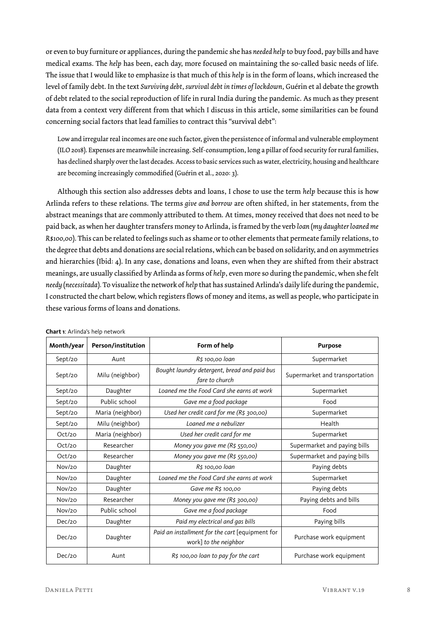or even to buy furniture or appliances, during the pandemic she has *needed help* to buy food, pay bills and have medical exams. The *help* has been, each day, more focused on maintaining the so-called basic needs of life. The issue that I would like to emphasize is that much of this *help* is in the form of loans, which increased the level of family debt. In the text *Surviving debt, survival debt in times of lockdown,* Guérin et al debate the growth of debt related to the social reproduction of life in rural India during the pandemic. As much as they present data from a context very different from that which I discuss in this article, some similarities can be found concerning social factors that lead families to contract this "survival debt":

Low and irregular real incomes are one such factor, given the persistence of informal and vulnerable employment (ILO 2018). Expenses are meanwhile increasing. Self-consumption, long a pillar of food security for rural families, has declined sharply over the last decades. Access to basic services such as water, electricity, housing and healthcare are becoming increasingly commodified (Guérin et al., 2020: 3).

Although this section also addresses debts and loans, I chose to use the term *help* because this is how Arlinda refers to these relations. The terms *give and borrow* are often shifted, in her statements, from the abstract meanings that are commonly attributed to them. At times, money received that does not need to be paid back, as when her daughter transfers money to Arlinda, is framed by the verb *loan* (*my daughter loaned me R\$100,00*). This can be related to feelings such as shame or to other elements that permeate family relations, to the degree that debts and donations are social relations, which can be based on solidarity, and on asymmetries and hierarchies (Ibid: 4). In any case, donations and loans, even when they are shifted from their abstract meanings, are usually classified by Arlinda as forms of *help*, even more so during the pandemic, when she felt *needy* (*necessitada*)*.* To visualize the network of *help* that has sustained Arlinda's daily life during the pandemic, I constructed the chart below, which registers flows of money and items, as well as people, who participate in these various forms of loans and donations.

| Month/year | Person/institution | Form of help                                                             | <b>Purpose</b>                 |
|------------|--------------------|--------------------------------------------------------------------------|--------------------------------|
| Sept/20    | Aunt               | R\$ 100,00 loan                                                          | Supermarket                    |
| Sept/20    | Milu (neighbor)    | Bought laundry detergent, bread and paid bus<br>fare to church           | Supermarket and transportation |
| Sept/20    | Daughter           | Loaned me the Food Card she earns at work                                | Supermarket                    |
| Sept/20    | Public school      | Gave me a food package                                                   | Food                           |
| Sept/20    | Maria (neighbor)   | Used her credit card for me (R\$ 300,00)                                 | Supermarket                    |
| Sept/20    | Milu (neighbor)    | Loaned me a nebulizer                                                    | Health                         |
| Oct/20     | Maria (neighbor)   | Used her credit card for me                                              | Supermarket                    |
| Oct/20     | Researcher         | Money you gave me (R\$ 550,00)                                           | Supermarket and paying bills   |
| Oct/20     | Researcher         | Money you gave me (R\$ 550,00)                                           | Supermarket and paying bills   |
| Nov/20     | Daughter           | R\$ 100,00 loan                                                          | Paying debts                   |
| Nov/20     | Daughter           | Loaned me the Food Card she earns at work                                | Supermarket                    |
| Nov/20     | Daughter           | Gave me R\$ 100,00                                                       | Paying debts                   |
| Nov/20     | Researcher         | Money you gave me (R\$ 300,00)                                           | Paying debts and bills         |
| Nov/20     | Public school      | Gave me a food package                                                   | Food                           |
| Dec/20     | Daughter           | Paid my electrical and gas bills                                         | Paying bills                   |
| Dec/20     | Daughter           | Paid an installment for the cart [equipment for<br>work] to the neighbor | Purchase work equipment        |
| Dec/20     | Aunt               | R\$ 100,00 loan to pay for the cart                                      | Purchase work equipment        |

**Chart 1**: Arlinda's help network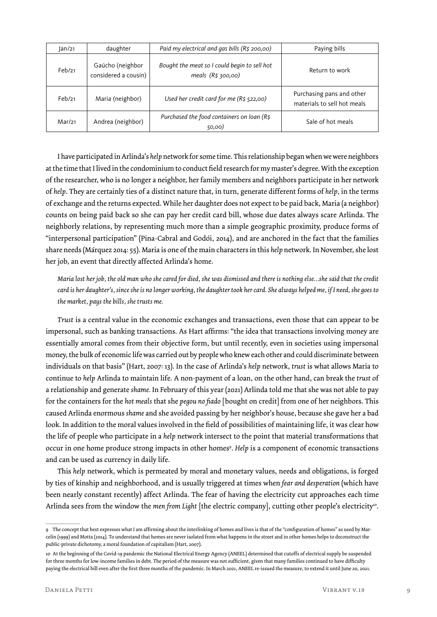| $\tan/21$ | daughter                                 | Paid my electrical and gas bills (R\$ 200,00)                         | Paying bills                                             |
|-----------|------------------------------------------|-----------------------------------------------------------------------|----------------------------------------------------------|
| Feb/21    | Gaúcho (neighbor<br>considered a cousin) | Bought the meat so I could begin to sell hot<br>meals $(R5, 300, 00)$ | Return to work                                           |
| Feb/21    | Maria (neighbor)                         | Used her credit card for me $(R\frac{2}{5}522,00)$                    | Purchasing pans and other<br>materials to sell hot meals |
| Mar/21    | Andrea (neighbor)                        | Purchased the food containers on loan (R\$<br>50,00)                  | Sale of hot meals                                        |

I have participated in Arlinda's *help* network for some time. This relationship began when we were neighbors at the time that I lived in the condominium to conduct field research for my master's degree. With the exception of the researcher, who is no longer a neighbor, her family members and neighbors participate in her network of *help*. They are certainly ties of a distinct nature that, in turn, generate different forms of *help,* in the terms of exchange and the returns expected. While her daughter does not expect to be paid back, Maria (a neighbor) counts on being paid back so she can pay her credit card bill, whose due dates always scare Arlinda. The neighborly relations, by representing much more than a simple geographic proximity, produce forms of "interpersonal participation" (Pina-Cabral and Godói, 2014), and are anchored in the fact that the families share needs (Márquez 2014: 55). Maria is one of the main characters in this *help* network. In November, she lost her job, an event that directly affected Arlinda's home.

*Maria lost her job, the old man who she cared for died, she was dismissed and there is nothing else…she said that the credit card is her daughter's, since she is no longer working, the daughter took her card. She always helped me, if I need, she goes to the market, pays the bills, she trusts me.*

*Trust* is a central value in the economic exchanges and transactions, even those that can appear to be impersonal, such as banking transactions. As Hart affirms: "the idea that transactions involving money are essentially amoral comes from their objective form, but until recently, even in societies using impersonal money, the bulk of economic life was carried out by people who knew each other and could discriminate between individuals on that basis" (Hart, 2007: 13). In the case of Arlinda's *help* network, *trust* is what allows Maria to continue to *help* Arlinda to maintain life. A non-payment of a loan, on the other hand, can break the *trust* of a relationship and generate *shame.* In February of this year (2021) Arlinda told me that she was not able to pay for the containers for the *hot meals* that she *pegou no fiado* [bought on credit] from one of her neighbors. This caused Arlinda enormous *shame* and she avoided passing by her neighbor's house, because she gave her a bad look. In addition to the moral values involved in the field of possibilities of maintaining life, it was clear how the life of people who participate in a *help* network intersect to the point that material transformations that occur in one home produce strong impacts in other homes9 . *Help* is a component of economic transactions and can be used as currency in daily life.

This *help* network, which is permeated by moral and monetary values, needs and obligations, is forged by ties of kinship and neighborhood, and is usually triggered at times when *fear and desperation* (which have been nearly constant recently) affect Arlinda. The fear of having the electricity cut approaches each time Arlinda sees from the window the *men from Light* [the electric company], cutting other people's electricity*<sup>10</sup>*.

<sup>9</sup> The concept that best expresses what I am affirming about the interlinking of homes and lives is that of the "configuration of homes" as used by Marcelin (1999) and Motta (2014). To understand that homes are never isolated from what happens in the street and in other homes helps to deconstruct the public-private dichotomy, a moral foundation of capitalism (Hart, 2007).

<sup>10</sup> At the beginning of the Covid-19 pandemic the National Electrical Energy Agency (ANEEL) determined that cutoffs of electrical supply be suspended for three months for low-income families in debt. The period of the measure was not sufficient, given that many families continued to have difficulty paying the electrical bill even after the first three months of the pandemic. In March 2021, ANEEL re-issued the measure, to extend it until June 20, 2021.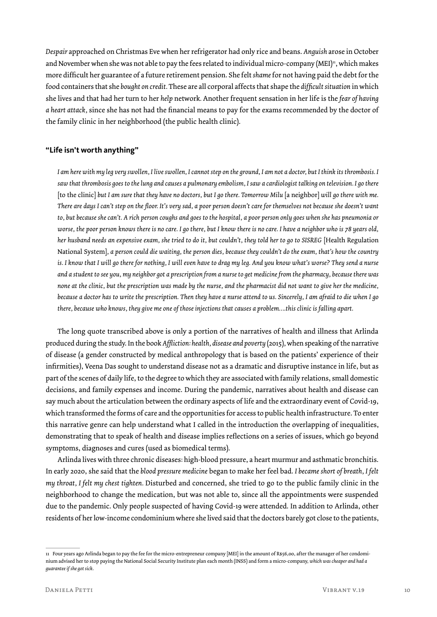*Despair* approached on Christmas Eve when her refrigerator had only rice and beans. *Anguish* arose in October and November when she was not able to pay the fees related to individual micro-company (MEI)<sup>11</sup>, which makes more difficult her guarantee of a future retirement pension. She felt *shame* for not having paid the debt for the food containers that she *bought on credit.* These are all corporal affects that shape the *difficult situation* in which she lives and that had her turn to her *help* network*.* Another frequent sensation in her life is the *fear of having a heart attack,* since she has not had the financial means to pay for the exams recommended by the doctor of the family clinic in her neighborhood (the public health clinic).

### **"Life isn't worth anything"**

*I am here with my leg very swollen, I live swollen, I cannot step on the ground, I am not a doctor, but I think its thrombosis. I saw that thrombosis goes to the lung and causes a pulmonary embolism, I saw a cardiologist talking on television. I go there*  [to the clinic] *but I am sure that they have no doctors, but I go there. Tomorrow Milu* [a neighbor] *will go there with me. There are days I can't step on the floor. It's very sad, a poor person doesn't care for themselves not because she doesn't want to, but because she can't. A rich person coughs and goes to the hospital, a poor person only goes when she has pneumonia or worse, the poor person knows there is no care. I go there, but I know there is no care. I have a neighbor who is 78 years old, her husband needs an expensive exam, she tried to do it, but couldn't, they told her to go to SISREG* [Health Regulation National System]*, a person could die waiting, the person dies, because they couldn't do the exam, that's how the country is. I know that I will go there for nothing, I will even have to drag my leg. And you know what's worse? They send a nurse and a student to see you, my neighbor got a prescription from a nurse to get medicine from the pharmacy, because there was none at the clinic, but the prescription was made by the nurse, and the pharmacist did not want to give her the medicine, because a doctor has to write the prescription. Then they have a nurse attend to us. Sincerely, I am afraid to die when I go there, because who knows, they give me one of those injections that causes a problem….this clinic is falling apart.*

The long quote transcribed above is only a portion of the narratives of health and illness that Arlinda produced during the study. In the book *Affliction: health, disease and poverty* (2015)*,* when speaking of the narrative of disease (a gender constructed by medical anthropology that is based on the patients' experience of their infirmities*)*, Veena Das sought to understand disease not as a dramatic and disruptive instance in life, but as part of the scenes of daily life, to the degree to which they are associated with family relations, small domestic decisions, and family expenses and income. During the pandemic, narratives about health and disease can say much about the articulation between the ordinary aspects of life and the extraordinary event of Covid-19, which transformed the forms of care and the opportunities for access to public health infrastructure. To enter this narrative genre can help understand what I called in the introduction the overlapping of inequalities, demonstrating that to speak of health and disease implies reflections on a series of issues, which go beyond symptoms, diagnoses and cures (used as biomedical terms).

Arlinda lives with three chronic diseases: high-blood pressure, a heart murmur and asthmatic bronchitis. In early 2020, she said that the *blood pressure medicine* began to make her feel bad. *I became short of breath, I felt my throat, I felt my chest tighten.* Disturbed and concerned, she tried to go to the public family clinic in the neighborhood to change the medication, but was not able to, since all the appointments were suspended due to the pandemic. Only people suspected of having Covid-19 were attended. In addition to Arlinda, other residents of her low-income condominium where she lived said that the doctors barely got close to the patients,

<sup>11</sup> Four years ago Arlinda began to pay the fee for the micro-entrepreneur company [MEI] in the amount of R\$56,00, after the manager of her condominium advised her to stop paying the National Social Security Institute plan each month (INSS) and form a micro-company, *which was cheaper and had a guarantee if she got sick*.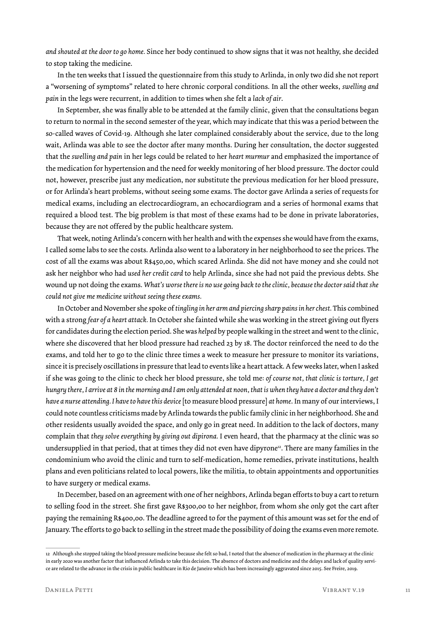*and shouted at the door to go home.* Since her body continued to show signs that it was not healthy, she decided to stop taking the medicine.

In the ten weeks that I issued the questionnaire from this study to Arlinda, in only two did she not report a "worsening of symptoms" related to here chronic corporal conditions. In all the other weeks, *swelling and pain* in the legs were recurrent, in addition to times when she felt a *lack of air*.

In September, she was finally able to be attended at the family clinic, given that the consultations began to return to normal in the second semester of the year, which may indicate that this was a period between the so-called waves of Covid-19. Although she later complained considerably about the service, due to the long wait, Arlinda was able to see the doctor after many months. During her consultation, the doctor suggested that the *swelling and pain* in her legs could be related to her *heart murmur* and emphasized the importance of the medication for hypertension and the need for weekly monitoring of her blood pressure. The doctor could not, however, prescribe just any medication, nor substitute the previous medication for her blood pressure, or for Arlinda's heart problems, without seeing some exams. The doctor gave Arlinda a series of requests for medical exams, including an electrocardiogram, an echocardiogram and a series of hormonal exams that required a blood test. The big problem is that most of these exams had to be done in private laboratories, because they are not offered by the public healthcare system.

That week, noting Arlinda's concern with her health and with the expenses she would have from the exams, I called some labs to see the costs. Arlinda also went to a laboratory in her neighborhood to see the prices. The cost of all the exams was about R\$450,00, which scared Arlinda. She did not have money and she could not ask her neighbor who had *used her credit card* to help Arlinda, since she had not paid the previous debts. She wound up not doing the exams. *What's worse there is no use going back to the clinic, because the doctor said that she could not give me medicine without seeing these exams.*

In October and November she spoke of *tingling in her arm and piercing sharp pains in her chest.* This combined with a strong *fear of a heart attack.* In October she fainted while she was working in the street giving out flyers for candidates during the election period. She was *helped* by people walking in the street and went to the clinic, where she discovered that her blood pressure had reached 23 by 18. The doctor reinforced the need to do the exams, and told her to go to the clinic three times a week to measure her pressure to monitor its variations, since it is precisely oscillations in pressure that lead to events like a heart attack. A few weeks later, when I asked if she was going to the clinic to check her blood pressure, she told me: *of course not, that clinic is torture, I get hungry there, I arrive at 8 in the morning and I am only attended at noon, that is when they have a doctor and they don't have a nurse attending. I have to have this device* [to measure blood pressure] *at home*. In many of our interviews, I could note countless criticisms made by Arlinda towards the public family clinic in her neighborhood. She and other residents usually avoided the space, and only go in great need. In addition to the lack of doctors, many complain that *they solve everything by giving out dipirona.* I even heard, that the pharmacy at the clinic was so undersupplied in that period, that at times they did not even have dipyrone<sup>12</sup>. There are many families in the condominium who avoid the clinic and turn to self-medication, home remedies, private institutions, health plans and even politicians related to local powers, like the militia, to obtain appointments and opportunities to have surgery or medical exams.

In December, based on an agreement with one of her neighbors, Arlinda began efforts to buy a cart to return to selling food in the street. She first gave R\$300,00 to her neighbor, from whom she only got the cart after paying the remaining R\$400,00. The deadline agreed to for the payment of this amount was set for the end of January. The efforts to go back to selling in the street made the possibility of doing the exams even more remote.

<sup>12</sup> Although she stopped taking the blood pressure medicine because she felt so bad, I noted that the absence of medication in the pharmacy at the clinic in early 2020 was another factor that influenced Arlinda to take this decision. The absence of doctors and medicine and the delays and lack of quality service are related to the advance in the crisis in public healthcare in Rio de Janeiro which has been increasingly aggravated since 2015. See Freire, 2019.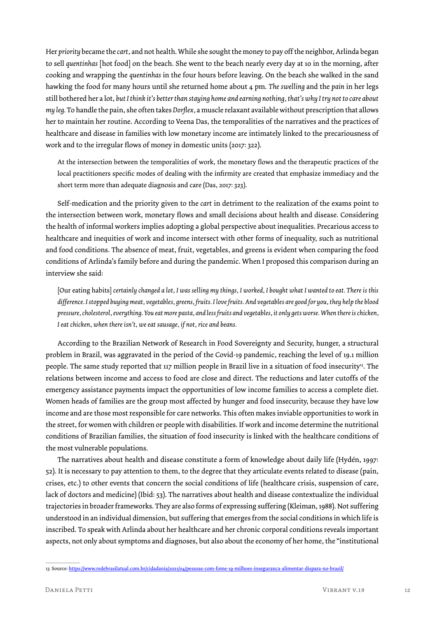Her *priority* became the *cart*, and not health. While she sought the money to pay off the neighbor, Arlinda began to sell *quentinhas* [hot food] on the beach. She went to the beach nearly every day at 10 in the morning, after cooking and wrapping the *quentinhas* in the four hours before leaving. On the beach she walked in the sand hawking the food for many hours until she returned home about 4 pm. *The swelling* and the *pain* in her legs still bothered her a lot, *but I think it's better than staying home and earning nothing, that's why I try not to care about my leg.* To handle the pain, she often takes *Dorflex,* a muscle relaxant available without prescription that allows her to maintain her routine. According to Veena Das, the temporalities of the narratives and the practices of healthcare and disease in families with low monetary income are intimately linked to the precariousness of work and to the irregular flows of money in domestic units (2017: 322).

At the intersection between the temporalities of work, the monetary flows and the therapeutic practices of the local practitioners specific modes of dealing with the infirmity are created that emphasize immediacy and the short term more than adequate diagnosis and care (Das, 2017: 323).

Self-medication and the priority given to the *cart* in detriment to the realization of the exams point to the intersection between work, monetary flows and small decisions about health and disease. Considering the health of informal workers implies adopting a global perspective about inequalities. Precarious access to healthcare and inequities of work and income intersect with other forms of inequality, such as nutritional and food conditions. The absence of meat, fruit, vegetables, and greens is evident when comparing the food conditions of Arlinda's family before and during the pandemic. When I proposed this comparison during an interview she said:

[Our eating habits] *certainly changed a lot, I was selling my things, I worked, I bought what I wanted to eat. There is this difference. I stopped buying meat, vegetables, greens, fruits. I love fruits. And vegetables are good for you, they help the blood pressure, cholesterol, everything. You eat more pasta, and less fruits and vegetables, it only gets worse. When there is chicken, I eat chicken, when there isn't, we eat sausage, if not, rice and beans.*

According to the Brazilian Network of Research in Food Sovereignty and Security, hunger, a structural problem in Brazil, was aggravated in the period of the Covid-19 pandemic, reaching the level of 19.1 million people. The same study reported that 117 million people in Brazil live in a situation of food insecurity<sup>3</sup>. The relations between income and access to food are close and direct. The reductions and later cutoffs of the emergency assistance payments impact the opportunities of low income families to access a complete diet. Women heads of families are the group most affected by hunger and food insecurity, because they have low income and are those most responsible for care networks. This often makes inviable opportunities to work in the street, for women with children or people with disabilities. If work and income determine the nutritional conditions of Brazilian families, the situation of food insecurity is linked with the healthcare conditions of the most vulnerable populations.

The narratives about health and disease constitute a form of knowledge about daily life (Hydén, 1997: 52). It is necessary to pay attention to them, to the degree that they articulate events related to disease (pain, crises, etc.) to other events that concern the social conditions of life (healthcare crisis, suspension of care, lack of doctors and medicine) (Ibid: 53). The narratives about health and disease contextualize the individual trajectories in broader frameworks. They are also forms of expressing suffering (Kleiman, 1988). Not suffering understood in an individual dimension, but suffering that emerges from the social conditions in which life is inscribed. To speak with Arlinda about her healthcare and her chronic corporal conditions reveals important aspects, not only about symptoms and diagnoses, but also about the economy of her home, the "institutional

<sup>13</sup> Source: https://www.redebrasilatual.com.br/cidadania/2021/04/pessoas-com-fome-19-milhoes-inseguranca-alimentar-dispara-no-brasil/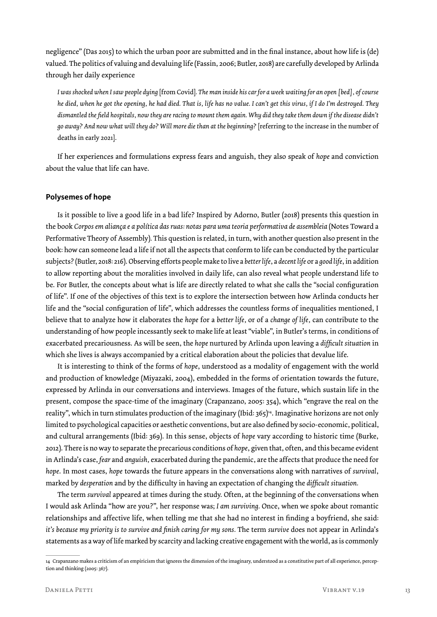negligence" (Das 2015) to which the urban poor are submitted and in the final instance, about how life is (de) valued. The politics of valuing and devaluing life (Fassin, 2006; Butler, 2018) are carefully developed by Arlinda through her daily experience

*I was shocked when I saw people dying* [from Covid]*. The man inside his car for a week waiting for an open [bed], of course he died, when he got the opening, he had died. That is, life has no value. I can't get this virus, if I do I'm destroyed. They dismantled the field hospitals, now they are racing to mount them again. Why did they take them down if the disease didn't go away? And now what will they do? Will more die than at the beginning?* [referring to the increase in the number of deaths in early 2021].

If her experiences and formulations express fears and anguish, they also speak of *hope* and conviction about the value that life can have.

#### **Polysemes of hope**

Is it possible to live a good life in a bad life? Inspired by Adorno, Butler (2018) presents this question in the book Corpos em aliança e a política das ruas: notas para uma teoria performativa de assembleia (Notes Toward a Performative Theory of Assembly)*.* This question is related, in turn, with another question also present in the book: how can someone lead a life if not all the aspects that conform to life can be conducted by the particular subjects? (Butler, 2018: 216). Observing efforts people make to live a *better life*, a *decent life* or a *good life*, in addition to allow reporting about the moralities involved in daily life, can also reveal what people understand life to be. For Butler, the concepts about what is life are directly related to what she calls the "social configuration of life". If one of the objectives of this text is to explore the intersection between how Arlinda conducts her life and the "social configuration of life", which addresses the countless forms of inequalities mentioned, I believe that to analyze how it elaborates the *hope* for a *better life,* or of a *change of life,* can contribute to the understanding of how people incessantly seek to make life at least "viable", in Butler's terms, in conditions of exacerbated precariousness. As will be seen, the *hope* nurtured by Arlinda upon leaving a *difficult situation* in which she lives is always accompanied by a critical elaboration about the policies that devalue life.

It is interesting to think of the forms of *hope*, understood as a modality of engagement with the world and production of knowledge (Miyazaki, 2004), embedded in the forms of orientation towards the future, expressed by Arlinda in our conversations and interviews. Images of the future, which sustain life in the present, compose the space-time of the imaginary (Crapanzano, 2005: 354), which "engrave the real on the reality", which in turn stimulates production of the imaginary (Ibid: 365)14. Imaginative horizons are not only limited to psychological capacities or aesthetic conventions, but are also defined by socio-economic, political, and cultural arrangements (Ibid: 369). In this sense, objects of *hope* vary according to historic time (Burke, 2012). There is no way to separate the precarious conditions of *hope*, given that, often, and this became evident in Arlinda's case, *fear* and *anguish,* exacerbated during the pandemic, are the affects that produce the need for *hope*. In most cases, *hope* towards the future appears in the conversations along with narratives of *survival*, marked by *desperation* and by the difficulty in having an expectation of changing the *difficult situation.*

The term *survival* appeared at times during the study. Often, at the beginning of the conversations when I would ask Arlinda "how are you?", her response was; *I am surviving.* Once, when we spoke about romantic relationships and affective life, when telling me that she had no interest in finding a boyfriend, she said: *it's because my priority is to survive and finish caring for my sons. The term <i>survive* does not appear in Arlinda's statements as a way of life marked by scarcity and lacking creative engagement with the world, as is commonly

<sup>14</sup> Crapanzano makes a criticism of an empiricism that ignores the dimension of the imaginary, understood as a constitutive part of all experience, perception and thinking (2005: 367).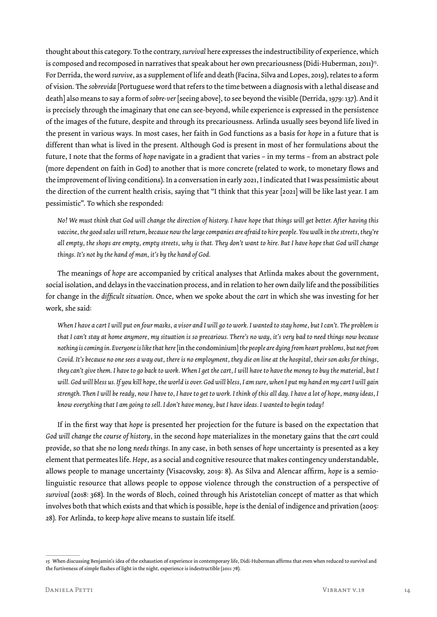thought about this category. To the contrary, *survival* here expresses the indestructibility of experience, which is composed and recomposed in narratives that speak about her own precariousness (Didi-Huberman, 2011)<sup>15</sup>. For Derrida, the word *survive*, as a supplement of life and death (Facina, Silva and Lopes, 2019), relates to a form of vision. The *sobrevida* [Portuguese word that refers to the time between a diagnosis with a lethal disease and death] also means to say a form of *sobre-ver* [seeing above], to see beyond the visible (Derrida, 1979: 137). And it is precisely through the imaginary that one can see-beyond, while experience is expressed in the persistence of the images of the future, despite and through its precariousness. Arlinda usually sees beyond life lived in the present in various ways. In most cases, her faith in God functions as a basis for *hope* in a future that is different than what is lived in the present. Although God is present in most of her formulations about the future, I note that the forms of *hope* navigate in a gradient that varies – in my terms – from an abstract pole (more dependent on faith in God) to another that is more concrete (related to work, to monetary flows and the improvement of living conditions). In a conversation in early 2021, I indicated that I was pessimistic about the direction of the current health crisis, saying that "I think that this year [2021] will be like last year. I am pessimistic". To which she responded:

*No! We must think that God will change the direction of history. I have hope that things will get better. After having this vaccine, the good sales will return, because now the large companies are afraid to hire people. You walk in the streets, they're all empty, the shops are empty, empty streets, why is that. They don't want to hire. But I have hope that God will change things. It's not by the hand of man, it's by the hand of God.*

The meanings of *hope* are accompanied by critical analyses that Arlinda makes about the government, social isolation, and delays in the vaccination process, and in relation to her own daily life and the possibilities for change in the *difficult situation*. Once, when we spoke about the *cart* in which she was investing for her work, she said:

*When I have a cart I will put on four masks, a visor and I will go to work. I wanted to stay home, but I can't. The problem is that I can't stay at home anymore, my situation is so precarious. There's no way, it's very bad to need things now because nothing is coming in. Everyone is like that here* [in the condominium] *the people are dying from heart problems, but not from Covid. It's because no one sees a way out, there is no employment, they die on line at the hospital, their son asks for things, they can't give them. I have to go back to work. When I get the cart, I will have to have the money to buy the material, but I will. God will bless us. If you kill hope, the world is over. God will bless, I am sure, when I put my hand on my cart I will gain strength. Then I will be ready, now I have to, I have to get to work. I think of this all day. I have a lot of hope, many ideas, I know everything that I am going to sell. I don't have money, but I have ideas. I wanted to begin today!*

If in the first way that *hope* is presented her projection for the future is based on the expectation that *God will change the course of history,* in the second *hope* materializes in the monetary gains that the *cart* could provide, so that she no long *needs things.* In any case, in both senses of *hope* uncertainty is presented as a key element that permeates life. *Hope*, as a social and cognitive resource that makes contingency understandable, allows people to manage uncertainty (Visacovsky, 2019: 8). As Silva and Alencar affirm, *hope* is a semiolinguistic resource that allows people to oppose violence through the construction of a perspective of *survival* (2018: 368). In the words of Bloch, coined through his Aristotelian concept of matter as that which involves both that which exists and that which is possible, *hope* is the denial of indigence and privation (2005: 28). For Arlinda, to keep *hope* alive means to sustain life itself.

<sup>15</sup> When discussing Benjamin's idea of the exhaustion of experience in contemporary life, Didi-Huberman affirms that even when reduced to survival and the furtiveness of simple flashes of light in the night, experience is indestructible (2011: 78).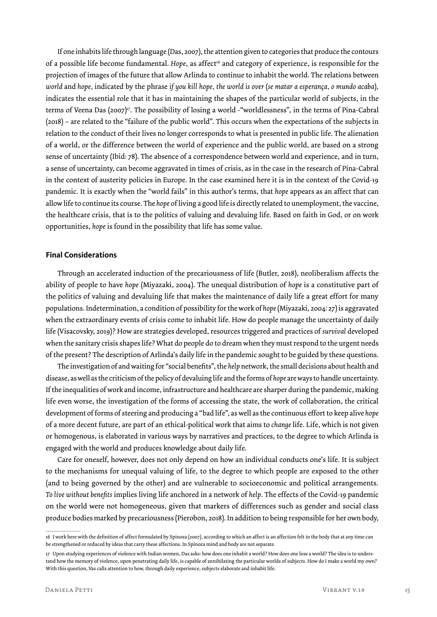If one inhabits life through language (Das, 2007), the attention given to categories that produce the contours of a possible life become fundamental. *Hope*, as affect<sup>16</sup> and category of experience, is responsible for the projection of images of the future that allow Arlinda to continue to inhabit the world. The relations between *world* and *hope,* indicated by the phrase *if you kill hope, the world is over* (*se matar a esperança, o mundo acaba*)*,* indicates the essential role that it has in maintaining the shapes of the particular world of subjects, in the terms of Veena Das (2007)<sup>17</sup>. The possibility of losing a world -"worldlessness", in the terms of Pina-Cabral (2018) – are related to the "failure of the public world". This occurs when the expectations of the subjects in relation to the conduct of their lives no longer corresponds to what is presented in public life. The alienation of a world, or the difference between the world of experience and the public world, are based on a strong sense of uncertainty (Ibid: 78). The absence of a correspondence between world and experience, and in turn, a sense of uncertainty, can become aggravated in times of crisis, as in the case in the research of Pina-Cabral in the context of austerity policies in Europe. In the case examined here it is in the context of the Covid-19 pandemic. It is exactly when the "world fails" in this author's terms, that *hope* appears as an affect that can allow life to continue its course. The *hope* of living a good life is directly related to unemployment, the vaccine, the healthcare crisis, that is to the politics of valuing and devaluing life. Based on faith in God, or on work opportunities, *hope* is found in the possibility that life has some value.

#### **Final Considerations**

Through an accelerated induction of the precariousness of life (Butler, 2018), neoliberalism affects the ability of people to have *hope* (Miyazaki, 2004). The unequal distribution of *hope* is a constitutive part of the politics of valuing and devaluing life that makes the maintenance of daily life a great effort for many populations. Indetermination, a condition of possibility for the work of *hope* (Miyazaki, 2004: 27) is aggravated when the extraordinary events of crisis come to inhabit life. How do people manage the uncertainty of daily life (Visacovsky, 2019)? How are strategies developed, resources triggered and practices of *survival* developed when the sanitary crisis shapes life? What do people do to dream when they must respond to the urgent needs of the present? The description of Arlinda's daily life in the pandemic sought to be guided by these questions.

The investigation of and waiting for "social benefits", the *help* network, the small decisions about health and disease, as well as the criticism of the policy of devaluing life and the forms of *hope* are ways to handle uncertainty. If the inequalities of work and income, infrastructure and healthcare are sharper during the pandemic, making life even worse, the investigation of the forms of accessing the state, the work of collaboration, the critical development of forms of steering and producing a "bad life", as well as the continuous effort to keep alive *hope*  of a more decent future, are part of an ethical-political work that aims to *change* life. Life, which is not given or homogenous, is elaborated in various ways by narratives and practices, to the degree to which Arlinda is engaged with the world and produces knowledge about daily life.

Care for oneself, however, does not only depend on how an individual conducts one's life. It is subject to the mechanisms for unequal valuing of life, to the degree to which people are exposed to the other (and to being governed by the other) and are vulnerable to socioeconomic and political arrangements. *To live without benefits* implies living life anchored in a network of *help*. The effects of the Covid-19 pandemic on the world were not homogeneous, given that markers of differences such as gender and social class produce bodies marked by precariousness (Pierobon, 2018). In addition to being responsible for her own body,

<sup>16</sup> I work here with the definition of affect formulated by Spinoza (2007), according to which an affect is an affection felt in the body that at any time can be strengthened or reduced by ideas that carry these affections. In Spinoza mind and body are not separate.

<sup>17</sup> Upon studying experiences of violence with Indian women, Das asks: how does one inhabit a world? How does one lose a world? The idea is to understand how the memory of violence, upon penetrating daily life, is capable of annihilating the particular worlds of subjects. How do I make a world my own? With this question, Vas calls attention to how, through daily experience, subjects elaborate and inhabit life.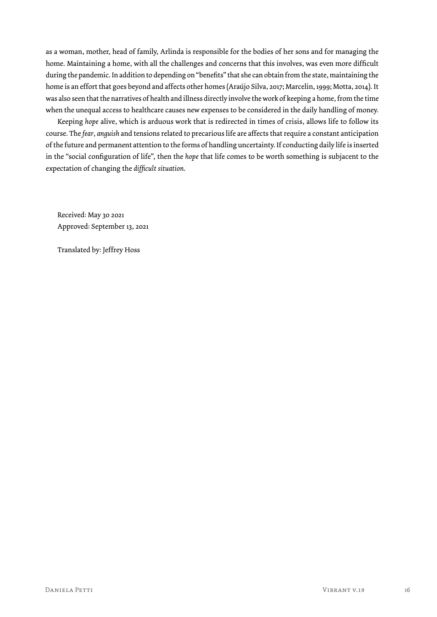as a woman, mother, head of family, Arlinda is responsible for the bodies of her sons and for managing the home. Maintaining a home, with all the challenges and concerns that this involves, was even more difficult during the pandemic. In addition to depending on "benefits" that she can obtain from the state, maintaining the home is an effort that goes beyond and affects other homes (Araújo Silva, 2017; Marcelin, 1999; Motta, 2014). It was also seen that the narratives of health and illness directly involve the work of keeping a home, from the time when the unequal access to healthcare causes new expenses to be considered in the daily handling of money.

Keeping *hope* alive, which is arduous work that is redirected in times of crisis, allows life to follow its course. The *fear*, *anguish* and tensions related to precarious life are affects that require a constant anticipation of the future and permanent attention to the forms of handling uncertainty. If conducting daily life is inserted in the "social configuration of life", then the *hope* that life comes to be worth something is subjacent to the expectation of changing the *difficult situation*.

Received: May 30 2021 Approved: September 13, 2021

Translated by: Jeffrey Hoss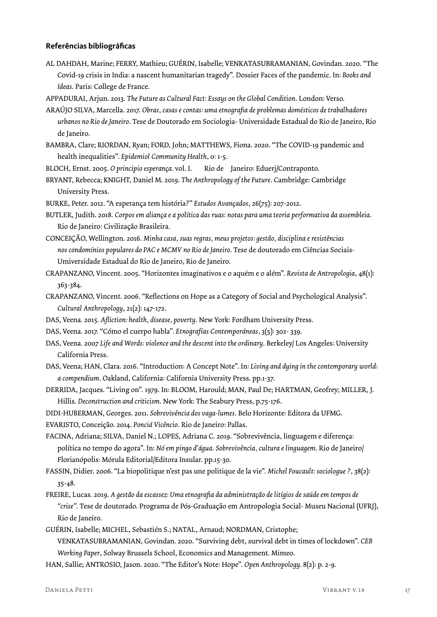### **Referências bibliográficas**

AL DAHDAH, Marine; FERRY, Mathieu; GUÉRIN, Isabelle; VENKATASUBRAMANIAN, Govindan. 2020. "The Covid-19 crisis in India: a nascent humanitarian tragedy". Dossier Faces of the pandemic. In: *Books and Ideas*. Paris: College de France.

APPADURAI, Arjun. 2013. *The Future as Cultural Fact*: *Essays on the Global Condition*. London: Verso.

- ARAÚJO SILVA, Marcella. 2017. *Obras, casas e contas: uma etnografia de problemas domésticos de trabalhadores urbanos no Rio de Janeiro*. Tese de Doutorado em Sociologia- Universidade Estadual do Rio de Janeiro, Rio de Janeiro.
- BAMBRA, Clare; RIORDAN, Ryan; FORD, John; MATTHEWS, Fiona. 2020. "The COVID-19 pandemic and health inequalities". *Epidemiol Community Health*, 0: 1-5.
- BLOCH, Ernst. 2005. *O principio esperança.* vol. I. Rio de Janeiro: Eduerj/Contraponto.
- BRYANT, Rebecca; KNIGHT, Daniel M. 2019. *The Anthropology of the Future*. Cambridge: Cambridge University Press.

BURKE, Peter. 2012. "A esperança tem história?" *Estudos Avançados*, 26(75): 207-2012.

- BUTLER, Judith. 2018. *Corpos em aliança e a política das ruas*: *notas para uma teoria performativa da assembleia*. Rio de Janeiro: Civilização Brasileira.
- CONCEIÇÃO, Wellington. 2016. *Minha casa, suas regras, meus projetos: gestão, disciplina e resistências nos condomínios populares do PAC e MCMV no Rio de Janeiro.* Tese de doutorado em Ciências Sociais-Umiversidade Estadual do Rio de Janeiro, Rio de Janeiro.

CRAPANZANO, Vincent. 2005. "Horizontes imaginativos e o aquém e o além". *Revista de Antropologia*, 48(1): 363-384.

- CRAPANZANO, Vincent. 2006. "Reflections on Hope as a Category of Social and Psychological Analysis". *Cultural Anthropology*, 21(2): 147-172.
- DAS, Veena. 2015. *Afliction: health, disease, poverty*. New York: Fordham University Press.
- DAS, Veena. 2017. "Cómo el cuerpo habla". *Etnografías Contemporáneas*, 3(5): 302- 339.
- DAS, Veena. 2007 *Life and Words: violence and the descent into the ordinary*. Berkeley/ Los Angeles: University California Press.
- DAS, Veena; HAN, Clara. 2016. "Introduction: A Concept Note". In: *Living and dying in the contemporary world*: *a compendium*. Oakland, California: California University Press. pp.1-37.
- DERRIDA, Jacques. "Living on". 1979. In: BLOOM, Harould; MAN, Paul De; HARTMAN, Geofrey; MILLER, J. Hillis. *Deconstruction and criticism*. New York: The Seabury Press, p.75-176.
- DIDI-HUBERMAN, Georges. 2011. *Sobrevivência dos vaga-lumes*. Belo Horizonte: Editora da UFMG.
- EVARISTO, Conceição. 2014. *Ponciá Vicêncio*. Rio de Janeiro: Pallas.
- FACINA, Adriana; SILVA, Daniel N.; LOPES, Adriana C. 2019. "Sobrevivência, linguagem e diferença: política no tempo do agora". In: *Nó em pingo d'água*. *Sobrevivência, cultura e linguagem*. Rio de Janeiro/ Florianópolis: Mórula Editorial/Editora Insular. pp.15-30.
- FASSIN, Didier. 2006. "La biopolitique n'est pas une politique de la vie". *Michel Foucault: sociologue ?*, 38(2): 35-48.
- FREIRE, Lucas. 2019. *A gestão da escassez: Uma etnografia da administração de litígios de saúde em tempos de "crise"*. Tese de doutorado. Programa de Pós-Graduação em Antropologia Social- Museu Nacional (UFRJ), Rio de Janeiro.
- GUÉRIN, Isabelle; MICHEL, Sebastién S.; NATAL, Arnaud; NORDMAN, Cristophe; VENKATASUBRAMANIAN, Govindan. 2020. "Surviving debt, survival debt in times of lockdown". *CEB Working Paper*, Solway Brussels School, Economics and Management. Mimeo.
- HAN, Sallie; ANTROSIO, Jason. 2020. "The Editor's Note: Hope". *Open Anthropology.* 8(2): p. 2-9.